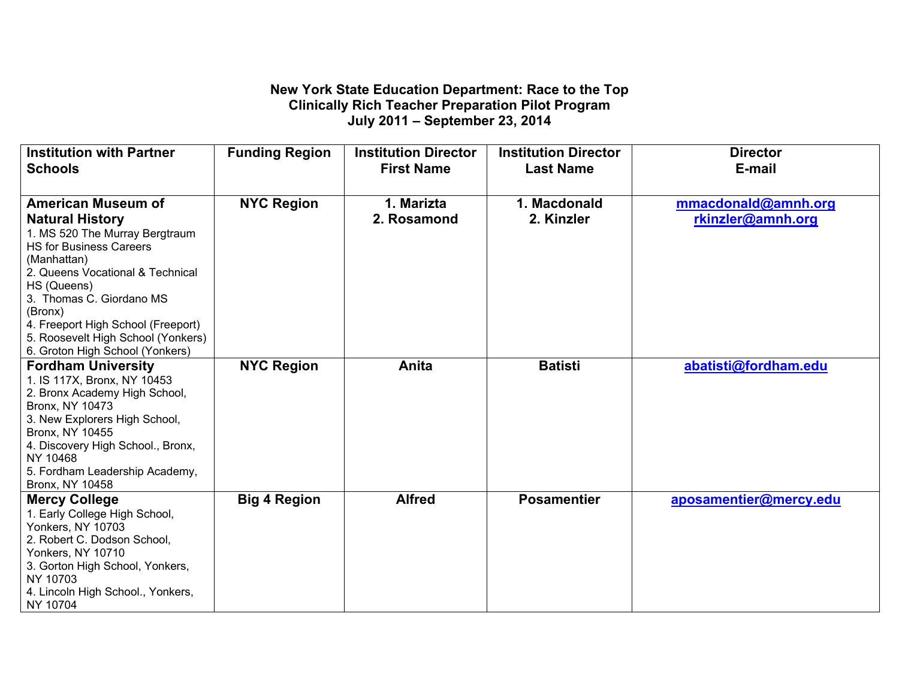## **New York State Education Department: Race to the Top Clinically Rich Teacher Preparation Pilot Program July 2011 – September 23, 2014**

| <b>Institution with Partner</b>               | <b>Funding Region</b> | <b>Institution Director</b> | <b>Institution Director</b> | <b>Director</b>        |
|-----------------------------------------------|-----------------------|-----------------------------|-----------------------------|------------------------|
| <b>Schools</b>                                |                       | <b>First Name</b>           | <b>Last Name</b>            | E-mail                 |
|                                               |                       |                             |                             |                        |
| <b>American Museum of</b>                     | <b>NYC Region</b>     | 1. Marizta                  | 1. Macdonald                | mmacdonald@amnh.org    |
| <b>Natural History</b>                        |                       | 2. Rosamond                 | 2. Kinzler                  | rkinzler@amnh.org      |
| 1. MS 520 The Murray Bergtraum                |                       |                             |                             |                        |
| <b>HS for Business Careers</b>                |                       |                             |                             |                        |
| (Manhattan)                                   |                       |                             |                             |                        |
| 2. Queens Vocational & Technical              |                       |                             |                             |                        |
| HS (Queens)                                   |                       |                             |                             |                        |
| 3. Thomas C. Giordano MS                      |                       |                             |                             |                        |
| (Bronx)                                       |                       |                             |                             |                        |
| 4. Freeport High School (Freeport)            |                       |                             |                             |                        |
| 5. Roosevelt High School (Yonkers)            |                       |                             |                             |                        |
| 6. Groton High School (Yonkers)               |                       |                             |                             |                        |
| <b>Fordham University</b>                     | <b>NYC Region</b>     | Anita                       | <b>Batisti</b>              | abatisti@fordham.edu   |
| 1. IS 117X, Bronx, NY 10453                   |                       |                             |                             |                        |
| 2. Bronx Academy High School,                 |                       |                             |                             |                        |
| Bronx, NY 10473                               |                       |                             |                             |                        |
| 3. New Explorers High School,                 |                       |                             |                             |                        |
| Bronx, NY 10455                               |                       |                             |                             |                        |
| 4. Discovery High School., Bronx,             |                       |                             |                             |                        |
| NY 10468                                      |                       |                             |                             |                        |
| 5. Fordham Leadership Academy,                |                       |                             |                             |                        |
| Bronx, NY 10458                               |                       |                             |                             |                        |
| <b>Mercy College</b>                          | <b>Big 4 Region</b>   | <b>Alfred</b>               | <b>Posamentier</b>          | aposamentier@mercy.edu |
| 1. Early College High School,                 |                       |                             |                             |                        |
| <b>Yonkers, NY 10703</b>                      |                       |                             |                             |                        |
| 2. Robert C. Dodson School,                   |                       |                             |                             |                        |
| <b>Yonkers, NY 10710</b>                      |                       |                             |                             |                        |
| 3. Gorton High School, Yonkers,<br>NY 10703   |                       |                             |                             |                        |
|                                               |                       |                             |                             |                        |
|                                               |                       |                             |                             |                        |
| 4. Lincoln High School., Yonkers,<br>NY 10704 |                       |                             |                             |                        |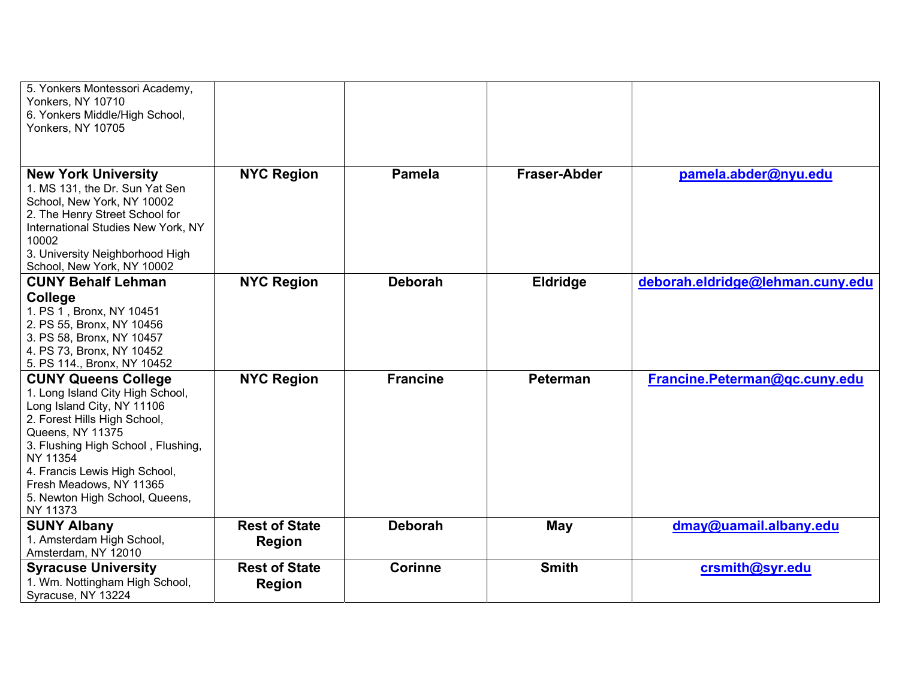| 5. Yonkers Montessori Academy,<br>Yonkers, NY 10710<br>6. Yonkers Middle/High School,                                                                                                                                                                                                                        |                                       |                 |                     |                                  |
|--------------------------------------------------------------------------------------------------------------------------------------------------------------------------------------------------------------------------------------------------------------------------------------------------------------|---------------------------------------|-----------------|---------------------|----------------------------------|
| <b>Yonkers, NY 10705</b>                                                                                                                                                                                                                                                                                     |                                       |                 |                     |                                  |
| <b>New York University</b><br>1. MS 131, the Dr. Sun Yat Sen<br>School, New York, NY 10002<br>2. The Henry Street School for<br>International Studies New York, NY<br>10002<br>3. University Neighborhood High<br>School, New York, NY 10002                                                                 | <b>NYC Region</b>                     | <b>Pamela</b>   | <b>Fraser-Abder</b> | pamela.abder@nyu.edu             |
| <b>CUNY Behalf Lehman</b>                                                                                                                                                                                                                                                                                    | <b>NYC Region</b>                     | <b>Deborah</b>  | <b>Eldridge</b>     | deborah.eldridge@lehman.cuny.edu |
| College<br>1. PS 1, Bronx, NY 10451<br>2. PS 55, Bronx, NY 10456<br>3. PS 58, Bronx, NY 10457<br>4. PS 73, Bronx, NY 10452<br>5. PS 114., Bronx, NY 10452                                                                                                                                                    |                                       |                 |                     |                                  |
| <b>CUNY Queens College</b><br>1. Long Island City High School,<br>Long Island City, NY 11106<br>2. Forest Hills High School,<br>Queens, NY 11375<br>3. Flushing High School, Flushing,<br>NY 11354<br>4. Francis Lewis High School,<br>Fresh Meadows, NY 11365<br>5. Newton High School, Queens,<br>NY 11373 | <b>NYC Region</b>                     | <b>Francine</b> | <b>Peterman</b>     | Francine.Peterman@gc.cuny.edu    |
| <b>SUNY Albany</b><br>1. Amsterdam High School,<br>Amsterdam, NY 12010                                                                                                                                                                                                                                       | <b>Rest of State</b><br><b>Region</b> | <b>Deborah</b>  | May                 | dmay@uamail.albany.edu           |
| <b>Syracuse University</b>                                                                                                                                                                                                                                                                                   | <b>Rest of State</b>                  | <b>Corinne</b>  | <b>Smith</b>        | crsmith@syr.edu                  |
| 1. Wm. Nottingham High School,<br>Syracuse, NY 13224                                                                                                                                                                                                                                                         | <b>Region</b>                         |                 |                     |                                  |